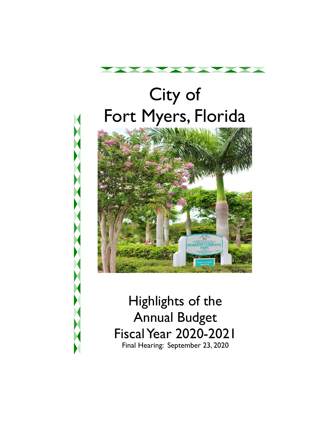

# City of Fort Myers, Florida



 Final Hearing: September 23, 2020 Highlights of the Annual Budget Fiscal Year 2020-2021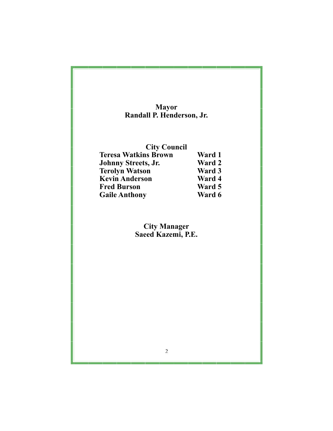| <b>Mayor</b>                              |        |
|-------------------------------------------|--------|
| Randall P. Henderson, Jr.                 |        |
| <b>City Council</b>                       |        |
| <b>Teresa Watkins Brown</b>               | Ward 1 |
| Johnny Streets, Jr.                       | Ward 2 |
| <b>Terolyn Watson</b>                     | Ward 3 |
| <b>Kevin Anderson</b>                     | Ward 4 |
| <b>Fred Burson</b>                        | Ward 5 |
| <b>Gaile Anthony</b>                      | Ward 6 |
| <b>City Manager</b><br>Saeed Kazemi, P.E. |        |
|                                           |        |
|                                           |        |
|                                           |        |
|                                           |        |
|                                           |        |
|                                           |        |
|                                           |        |
|                                           |        |
|                                           |        |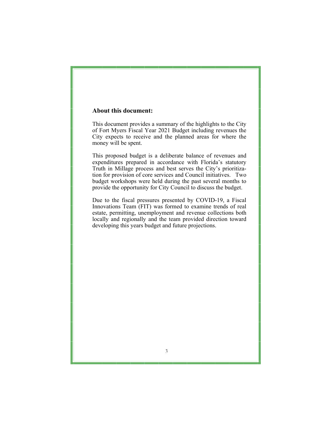### **About this document:**

This document provides a summary of the highlights to the City of Fort Myers Fiscal Year 2021 Budget including revenues the City expects to receive and the planned areas for where the money will be spent.

 This proposed budget is a deliberate balance of revenues and tion for provision of core services and Council initiatives. Two expenditures prepared in accordance with Florida's statutory Truth in Millage process and best serves the City's prioritizabudget workshops were held during the past several months to provide the opportunity for City Council to discuss the budget.

 Due to the fiscal pressures presented by COVID-19, a Fiscal Innovations Team (FIT) was formed to examine trends of real estate, permitting, unemployment and revenue collections both locally and regionally and the team provided direction toward developing this years budget and future projections.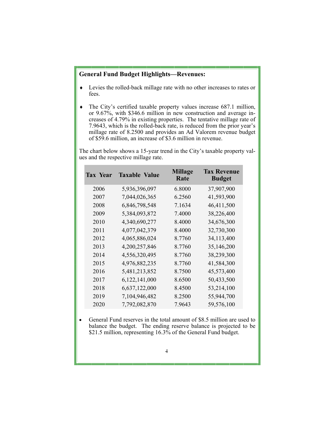#### **General Fund Budget Highlights—Revenues:**

- Levies the rolled-back millage rate with no other increases to rates or fees.
- creases of 4.79% in existing properties. The tentative millage rate of The City's certified taxable property values increase 687.1 million, or 9.67%, with \$346.6 million in new construction and average in-7.9643, which is the rolled-back rate, is reduced from the prior year's millage rate of 8.2500 and provides an Ad Valorem revenue budget of \$59.6 million, an increase of \$3.6 million in revenue.

The chart below shows a 15-year trend in the City's taxable property values and the respective millage rate.

| <b>Tax Year</b> | <b>Taxable Value</b> | <b>Millage</b><br>Rate | <b>Tax Revenue</b><br><b>Budget</b> |
|-----------------|----------------------|------------------------|-------------------------------------|
| 2006            | 5,936,396,097        | 6.8000                 | 37,907,900                          |
| 2007            | 7,044,026,365        | 6.2560                 | 41,593,900                          |
| 2008            | 6,846,798,548        | 7.1634                 | 46,411,500                          |
| 2009            | 5,384,093,872        | 7.4000                 | 38,226,400                          |
| 2010            | 4,340,690,277        | 8.4000                 | 34,676,300                          |
| 2011            | 4,077,042,379        | 8.4000                 | 32,730,300                          |
| 2012            | 4,065,886,024        | 8.7760                 | 34,113,400                          |
| 2013            | 4,200,257,846        | 8.7760                 | 35,146,200                          |
| 2014            | 4,556,320,495        | 8.7760                 | 38,239,300                          |
| 2015            | 4,976,882,235        | 8.7760                 | 41,584,300                          |
| 2016            | 5,481,213,852        | 8.7500                 | 45,573,400                          |
| 2017            | 6, 122, 141, 000     | 8.6500                 | 50,433,500                          |
| 2018            | 6,637,122,000        | 8.4500                 | 53,214,100                          |
| 2019            | 7,104,946,482        | 8.2500                 | 55,944,700                          |
| 2020            | 7,792,082,870        | 7.9643                 | 59,576,100                          |

• General Fund reserves in the total amount of \$8.5 million are used to balance the budget. The ending reserve balance is projected to be \$21.5 million, representing 16.3% of the General Fund budget.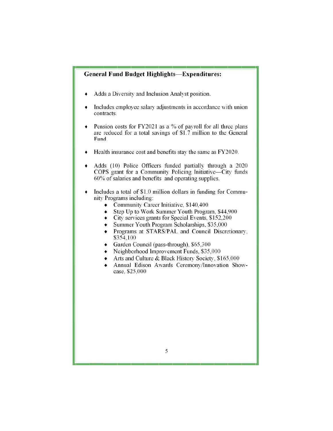# **General Fund Budget Highlights-Expenditures: General Fund Budget Highlights—Expenditures:**

- ♦ Adds a Diversity and Inclusion Analyst position. Adds a Diversity and Inclusion Analyst position.
- ♦ Includes employee salary adjustments in accordance with union Includes employee salary adjustments in accordance with union contracts. contracts.
- $\bullet$  Pension costs for FY2021 as a % of payroll for all three plans are reduced for a total savings of \$1.7 million to the General are reduced for a total savings of \$1.7 million to the General Fund. Fund.
- Health insurance cost and benefits stay the same as FY2020.
- Adds (10) Police Officers funded partially through a 2020 COPS grant for a Community Policing Initiative-City funds 60% of salaries and benefits and operating supplies. Adds (10) Police Officers funded partially through a 2020 COPS grant for a Community Policing Initiative—City funds 60% of salaries and benefits and operating supplies.
- ♦ Includes a total of \$1.0 million dollars in funding for Commu- Includes a total of \$1.0 million dollars in funding for Community Programs including: nity Programs including:
	- Community Career Initiative, \$140,400
	- ♦ Step Up to Work Summer Youth Program. \$44,900 Step Up to Work Summer Youth Program, \$44,900
	- ♦ City services grants for Special Events. \$152,200 City services grants for Special Events, \$152,200
	- ♦ Summer Youth Program Scholarships. \$35,000 Summer Youth Program Scholarships, \$35,000
	- ♦ Programs at STARS/PAL and Council Discretionary. Programs at STARS/PAL and Council Discretionary, \$354.100 \$354,100
	- Garden Council (pass-through). \$65.300 Garden Council (pass-through), \$65,300
	- ♦ Neighborhood Improvement Funds. \$35.000 Neighborhood Improvement Funds, \$35,000
	- Arts and Culture & Black History Society, \$165,000
	- ♦ Annual Edison Awards Ceremony/Innovation Show- Annual Edison Awards Ceremony/Innovation Showcase, \$25,000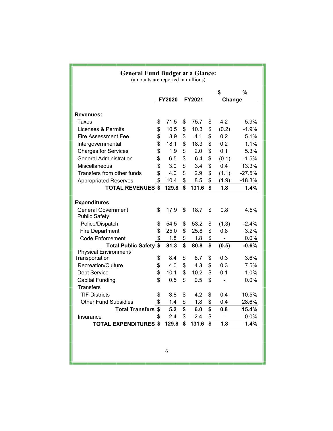| <b>General Fund Budget at a Glance:</b><br>(amounts are reported in millions) |                         |       |    |         |        |                |          |  |
|-------------------------------------------------------------------------------|-------------------------|-------|----|---------|--------|----------------|----------|--|
|                                                                               |                         |       |    | \$<br>% |        |                |          |  |
|                                                                               | FY2021<br><b>FY2020</b> |       |    |         | Change |                |          |  |
| <b>Revenues:</b>                                                              |                         |       |    |         |        |                |          |  |
| Taxes                                                                         | \$                      | 71.5  | \$ | 75.7    | \$     | 4.2            | 5.9%     |  |
| Licenses & Permits                                                            | \$                      | 10.5  | \$ | 10.3    | \$     | (0.2)          | $-1.9%$  |  |
| <b>Fire Assessment Fee</b>                                                    | \$                      | 3.9   | \$ | 4.1     | \$     | 0.2            | 5.1%     |  |
| Intergovernmental                                                             | \$                      | 18.1  | \$ | 18.3    | \$     | 0.2            | 1.1%     |  |
| <b>Charges for Services</b>                                                   | \$                      | 1.9   | \$ | 2.0     | \$     | 0.1            | 5.3%     |  |
| <b>General Administration</b>                                                 | \$                      | 6.5   | \$ | 6.4     | \$     | (0.1)          | $-1.5%$  |  |
| Miscellaneous                                                                 | \$                      | 3.0   | \$ | 3.4     | \$     | 0.4            | 13.3%    |  |
| Transfers from other funds                                                    | \$                      | 4.0   | \$ | 2.9     | \$     | (1.1)          | $-27.5%$ |  |
| <b>Appropriated Reserves</b>                                                  | \$                      | 10.4  | \$ | 8.5     | \$     | (1.9)          | $-18.3%$ |  |
| <b>TOTAL REVENUES \$</b>                                                      |                         | 129.8 | \$ | 131.6   | \$     | 1.8            | 1.4%     |  |
|                                                                               |                         |       |    |         |        |                |          |  |
| <b>Expenditures</b>                                                           |                         |       |    |         |        |                |          |  |
| <b>General Government</b><br><b>Public Safety</b>                             | \$                      | 17.9  | \$ | 18.7    | \$     | 0.8            | 4.5%     |  |
| Police/Dispatch                                                               | \$                      | 54.5  | \$ | 53.2    | \$     | (1.3)          | $-2.4%$  |  |
| <b>Fire Department</b>                                                        | \$                      | 25.0  | \$ | 25.8    | \$     | 0.8            | 3.2%     |  |
| <b>Code Enforcement</b>                                                       | \$                      | 1.8   | \$ | 1.8     | \$     | ÷,             | 0.0%     |  |
| <b>Total Public Safety \$</b>                                                 |                         | 81.3  | \$ | 80.8    | \$     | (0.5)          | $-0.6%$  |  |
| Physical Environment/                                                         |                         |       |    |         |        |                |          |  |
| Transportation                                                                | \$                      | 8.4   | \$ | 8.7     | \$     | 0.3            | 3.6%     |  |
| Recreation/Culture                                                            | \$                      | 4.0   | \$ | 4.3     | \$     | 0.3            | 7.5%     |  |
| Debt Service                                                                  | \$                      | 10.1  | \$ | 10.2    | \$     | 0.1            | 1.0%     |  |
| <b>Capital Funding</b>                                                        | \$                      | 0.5   | \$ | 0.5     | \$     |                | 0.0%     |  |
| <b>Transfers</b>                                                              |                         |       |    |         |        |                |          |  |
| <b>TIF Districts</b>                                                          | \$                      | 3.8   | \$ | 4.2     | \$     | 0.4            | 10.5%    |  |
| <b>Other Fund Subsidies</b>                                                   | \$                      | 1.4   | \$ | 1.8     | \$     | 0.4            | 28.6%    |  |
| <b>Total Transfers \$</b>                                                     |                         | 5.2   | \$ | 6.0     | \$     | 0.8            | 15.4%    |  |
| Insurance                                                                     | \$                      | 2.4   | \$ | 2.4     | \$     | $\blacksquare$ | 0.0%     |  |
| <b>TOTAL EXPENDITURES \$</b>                                                  |                         | 129.8 | \$ | 131.6   | \$     | 1.8            | 1.4%     |  |
|                                                                               |                         |       |    |         |        |                |          |  |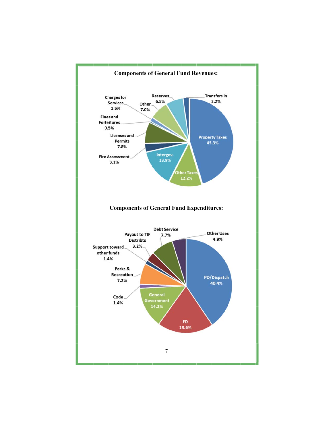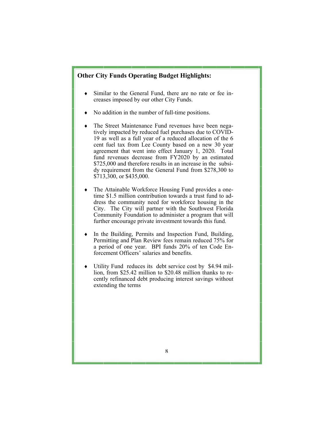## **Other City Funds Operating Budget Highlights:**

- Similar to the General Fund, there are no rate or fee increases imposed by our other City Funds.
- No addition in the number of full-time positions.
- tively impacted by reduced fuel purchases due to COVID- 19 as well as a full year of a reduced allocation of the 6 agreement that went into effect January 1, 2020. Total fund revenues decrease from FY2020 by an estimated dy requirement from the General Fund from \$278,300 to The Street Maintenance Fund revenues have been negacent fuel tax from Lee County based on a new 30 year \$725,000 and therefore results in an increase in the subsi-\$713,300, or \$435,000.
- The Attainable Workforce Housing Fund provides a onetime \$1.5 million contribution towards a trust fund to address the community need for workforce housing in the City. The City will partner with the Southwest Florida Community Foundation to administer a program that will further encourage private investment towards this fund.
- In the Building, Permits and Inspection Fund, Building, Permitting and Plan Review fees remain reduced 75% for a period of one year. BPI funds 20% of ten Code Enforcement Officers' salaries and benefits.
- Utility Fund reduces its debt service cost by \$4.94 million, from \$25.42 million to \$20.48 million thanks to recently refinanced debt producing interest savings without extending the terms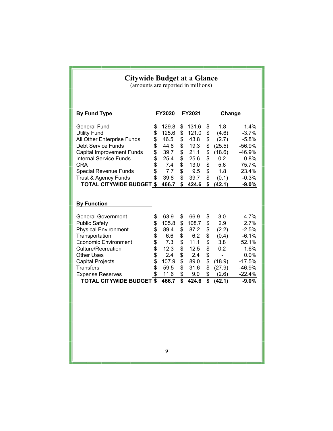| <b>Citywide Budget at a Glance</b><br>(amounts are reported in millions)                                                                                                                                                                                                                       |                                                          |                                                                                      |                                                                |                                                                                     |                                                                |                                                                                   |                                                                                                            |  |
|------------------------------------------------------------------------------------------------------------------------------------------------------------------------------------------------------------------------------------------------------------------------------------------------|----------------------------------------------------------|--------------------------------------------------------------------------------------|----------------------------------------------------------------|-------------------------------------------------------------------------------------|----------------------------------------------------------------|-----------------------------------------------------------------------------------|------------------------------------------------------------------------------------------------------------|--|
| <b>By Fund Type</b>                                                                                                                                                                                                                                                                            | FY2020                                                   |                                                                                      | FY2021                                                         |                                                                                     |                                                                | Change                                                                            |                                                                                                            |  |
| <b>General Fund</b><br><b>Utility Fund</b><br>All Other Enterprise Funds<br><b>Debt Service Funds</b><br><b>Capital Improvement Funds</b><br><b>Internal Service Funds</b><br><b>CRA</b><br><b>Special Revenue Funds</b><br><b>Trust &amp; Agency Funds</b><br><b>TOTAL CITYWIDE BUDGET \$</b> | \$<br>\$<br>\$<br>\$<br>\$<br>\$<br>\$<br>\$<br>\$       | 129.8<br>125.6<br>46.5<br>44.8<br>39.7<br>25.4<br>7.4<br>7.7<br>39.8<br>466.7        | \$<br>\$<br>\$<br>\$<br>\$<br>\$<br>\$<br>\$<br>\$<br>\$       | 131.6<br>121.0<br>43.8<br>19.3<br>21.1<br>25.6<br>13.0<br>9.5<br>39.7<br>424.6      | \$<br>\$<br>\$<br>\$<br>\$<br>\$<br>\$<br>\$<br>\$<br>\$       | 1.8<br>(4.6)<br>(2.7)<br>(25.5)<br>(18.6)<br>0.2<br>5.6<br>1.8<br>(0.1)<br>(42.1) | 1.4%<br>$-3.7%$<br>$-5.8%$<br>$-56.9%$<br>-46.9%<br>0.8%<br>75.7%<br>23.4%<br>$-0.3%$<br>$-9.0%$           |  |
| <b>By Function</b>                                                                                                                                                                                                                                                                             |                                                          |                                                                                      |                                                                |                                                                                     |                                                                |                                                                                   |                                                                                                            |  |
| <b>General Government</b><br><b>Public Safety</b><br><b>Physical Environment</b><br>Transportation<br><b>Economic Environment</b><br><b>Culture/Recreation</b><br>Other Uses<br><b>Capital Projects</b><br><b>Transfers</b><br><b>Expense Reserves</b><br><b>TOTAL CITYWIDE BUDGET \$</b>      | \$<br>\$<br>\$<br>\$<br>\$<br>\$<br>\$<br>\$<br>\$<br>\$ | 63.9<br>105.8<br>89.4<br>6.6<br>7.3<br>12.3<br>2.4<br>107.9<br>59.5<br>11.6<br>466.7 | \$<br>\$<br>\$<br>\$<br>\$<br>\$<br>\$<br>\$<br>\$<br>\$<br>\$ | 66.9<br>108.7<br>87.2<br>6.2<br>11.1<br>12.5<br>2.4<br>89.0<br>31.6<br>9.0<br>424.6 | \$<br>\$<br>\$<br>\$<br>\$<br>\$<br>\$<br>\$<br>\$<br>\$<br>\$ | 3.0<br>2.9<br>(2.2)<br>(0.4)<br>3.8<br>0.2<br>(18.9)<br>(27.9)<br>(2.6)<br>(42.1) | 4.7%<br>2.7%<br>$-2.5%$<br>$-6.1%$<br>52.1%<br>1.6%<br>0.0%<br>$-17.5%$<br>$-46.9%$<br>$-22.4%$<br>$-9.0%$ |  |
|                                                                                                                                                                                                                                                                                                |                                                          | 9                                                                                    |                                                                |                                                                                     |                                                                |                                                                                   |                                                                                                            |  |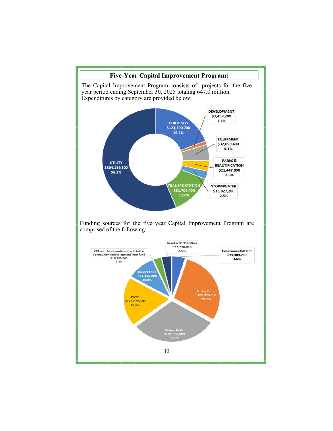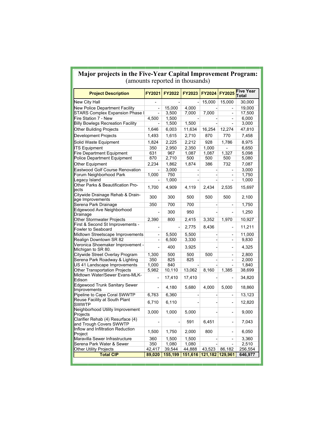## **Major projects in the Five-Year Capital Improvement Program:**  (amounts reported in thousands)

| <b>Project Description</b>                                   | FY2021         | <b>FY2022</b> | <b>FY2023</b> | FY2024                   | FY2025         | <b>Five Year</b><br>Total |
|--------------------------------------------------------------|----------------|---------------|---------------|--------------------------|----------------|---------------------------|
| <b>New City Hall</b>                                         |                |               |               | 15,000                   | 15,000         | 30,000                    |
| New Police Department Facility                               | $\overline{a}$ | 15,000        | 4.000         |                          |                | 19,000                    |
| STARS Complex Expansion Phase I                              |                | 3.500         | 7,000         | 7,000                    | $\overline{a}$ | 17,500                    |
| Fire Station 7 - New                                         | 4,500          | 1,500         |               |                          | -              | 6,000                     |
| <b>Billy Bowlegs Recreation Facility</b>                     |                | 1,500         | 1,500         |                          |                | 3,000                     |
| <b>Other Building Projects</b>                               | 1,646          | 6,003         | 11,634        | 16,254                   | 12,274         | 47,810                    |
| Development Projects                                         | 1,493          | 1,615         | 2,710         | 870                      | 770            | 7,458                     |
| Solid Waste Equipment                                        | 1,824          | 2,225         | 2,212         | 928                      | 1,786          | 8,975                     |
| <b>ITS Equipment</b>                                         | 350            | 2.950         | 2,350         | 1,000                    | $\overline{a}$ | 6,650                     |
| <b>Fire Department Equipment</b>                             | 631            | 967           | 1,087         | 1,087                    | 1,327          | 5,098                     |
| Police Department Equipment                                  | 870            | 2,710         | 500           | 500                      | 500            | 5,080                     |
| Other Equipment                                              | 2,234          | 1,862         | 1.874         | 386                      | 732            | 7,087                     |
| <b>Eastwood Golf Course Renovation</b>                       |                | 3,000         |               |                          | -              | 3,000                     |
| Forum Neighborhood Park                                      | 1,000          | 750           |               | $\overline{\phantom{a}}$ |                | 1,750                     |
| egacy Island                                                 |                | 1,000         |               | -                        | $\overline{a}$ | 1,000                     |
| Other Parks & Beautification Pro-                            |                |               |               |                          |                |                           |
| iects                                                        | 1,700          | 4,909         | 4,119         | 2,434                    | 2,535          | 15,697                    |
| Citywide Drainage Rehab & Drain-<br>age Improvements         | 300            | 300           | 500           | 500                      | 500            | 2,100                     |
| Serena Park Drainage                                         | 350            | 700           | 700           |                          |                | 1,750                     |
| Edgewood Ave Neighborhood<br>Drainage                        |                | 300           | 950           |                          |                | 1,250                     |
| <b>Other Stormwater Projects</b>                             | 2,390          | 800           | 2,415         | 3,352                    | 1,970          | 10,927                    |
| First & Second St Improvements -                             |                |               | 2,775         | 8,436                    |                | 11,211                    |
| Fowler to Seaboard                                           |                |               |               |                          |                |                           |
| Midtown Streetscape Improvements                             | $\overline{a}$ | 5,500         | 5.500         |                          |                | 11,000                    |
| Realign Downtown SR 82                                       | -              | 6,500         | 3,330         |                          | -              | 9,830                     |
| Veronica Shoemaker Improvement -<br>Michigan to SR 80.       |                | 400           | 3,925         |                          |                | 4,325                     |
| Citywide Street Overlay Program                              | 1,300          | 500           | 500           | 500                      | $\overline{a}$ | 2,800                     |
| Serena Park Roadway & Lighting                               | 350            | 825           | 825           |                          |                | 2,000                     |
| US 41 Landscape Improvements                                 | 1,000          | 840           |               |                          |                | 1,840                     |
| Other Transportation Projects                                | 5,982          | 10,110        | 13,062        | 8,160                    | 1,385          | 38,699                    |
| Midtown Water/Sewer Evans-MLK-<br>Edison                     |                | 17,410        | 17,410        |                          |                | 34,820                    |
| <b>Edgewood Trunk Sanitary Sewer</b><br>Improvements         |                | 4,180         | 5,680         | 4,000                    | 5,000          | 18,860                    |
| Pipeline to Cape Coral SWWTP                                 | 6,763          | 6,360         |               | -                        | $\overline{a}$ | 13,123                    |
| Reuse Facility at South Plant<br><b>SWWTP</b>                | 6,710          | 6,110         |               |                          | $\overline{a}$ | 12,820                    |
| Neighborhood Utility Improvement<br>Projects                 | 3,000          | 1,000         | 5,000         |                          |                | 9,000                     |
| Clarifier Rehab (4) Resurface (4)<br>and Trough Covers SWWTP | $\overline{a}$ |               | 591           | 6,451                    | L,             | 7,043                     |
| Inflow and Infiltration Reduction<br>Project                 | 1,500          | 1,750         | 2,000         | 800                      | $\overline{a}$ | 6,050                     |
| Maravilla Sewer Infrastructure                               | 360            | 1,500         | 1,500         |                          |                | 3,360                     |
| Serena Park Water & Sewer                                    | 350            | 1,080         | 1,080         |                          |                | 2,510                     |
| <b>Other Utility Projects</b>                                | 42,417         | 39,544        | 44,888        | 43,523                   | 86,182         | 256,554                   |
| <b>Total CIP</b>                                             | 89,020         | 155,199       | 151,616       | 121,182                  | 129,961        | 646,977                   |
|                                                              |                |               |               |                          |                |                           |